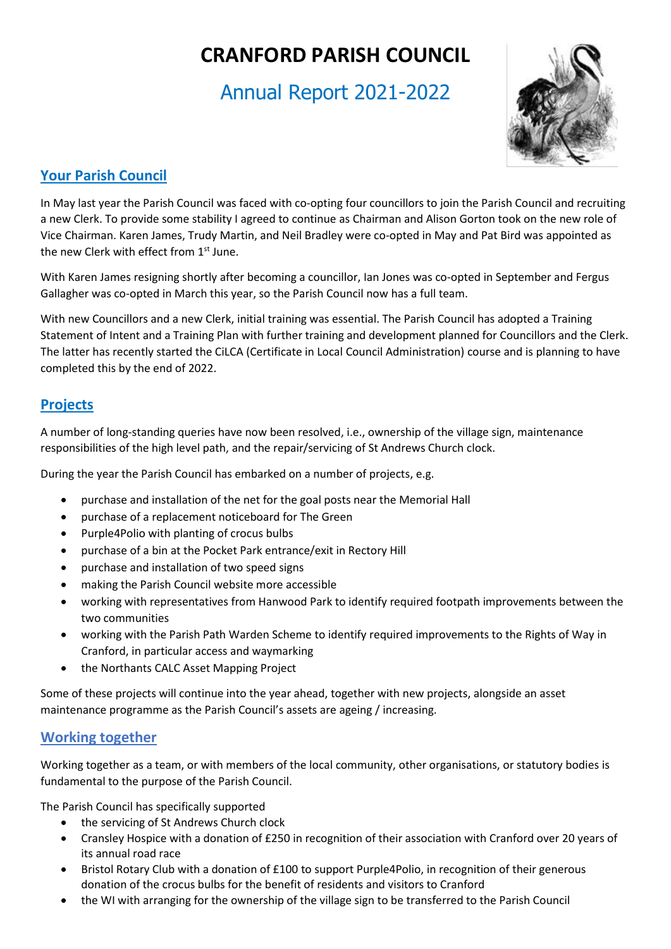# **CRANFORD PARISH COUNCIL**

## Annual Report 2021-2022



## **Your Parish Council**

In May last year the Parish Council was faced with co-opting four councillors to join the Parish Council and recruiting a new Clerk. To provide some stability I agreed to continue as Chairman and Alison Gorton took on the new role of Vice Chairman. Karen James, Trudy Martin, and Neil Bradley were co-opted in May and Pat Bird was appointed as the new Clerk with effect from 1<sup>st</sup> June.

With Karen James resigning shortly after becoming a councillor, Ian Jones was co-opted in September and Fergus Gallagher was co-opted in March this year, so the Parish Council now has a full team.

With new Councillors and a new Clerk, initial training was essential. The Parish Council has adopted a Training Statement of Intent and a Training Plan with further training and development planned for Councillors and the Clerk. The latter has recently started the CiLCA (Certificate in Local Council Administration) course and is planning to have completed this by the end of 2022.

### **Projects**

A number of long-standing queries have now been resolved, i.e., ownership of the village sign, maintenance responsibilities of the high level path, and the repair/servicing of St Andrews Church clock.

During the year the Parish Council has embarked on a number of projects, e.g.

- purchase and installation of the net for the goal posts near the Memorial Hall
- purchase of a replacement noticeboard for The Green
- Purple4Polio with planting of crocus bulbs
- purchase of a bin at the Pocket Park entrance/exit in Rectory Hill
- purchase and installation of two speed signs
- making the Parish Council website more accessible
- working with representatives from Hanwood Park to identify required footpath improvements between the two communities
- working with the Parish Path Warden Scheme to identify required improvements to the Rights of Way in Cranford, in particular access and waymarking
- the Northants CALC Asset Mapping Project

Some of these projects will continue into the year ahead, together with new projects, alongside an asset maintenance programme as the Parish Council's assets are ageing / increasing.

#### **Working together**

Working together as a team, or with members of the local community, other organisations, or statutory bodies is fundamental to the purpose of the Parish Council.

The Parish Council has specifically supported

- the servicing of St Andrews Church clock
- Cransley Hospice with a donation of £250 in recognition of their association with Cranford over 20 years of its annual road race
- Bristol Rotary Club with a donation of £100 to support Purple4Polio, in recognition of their generous donation of the crocus bulbs for the benefit of residents and visitors to Cranford
- the WI with arranging for the ownership of the village sign to be transferred to the Parish Council